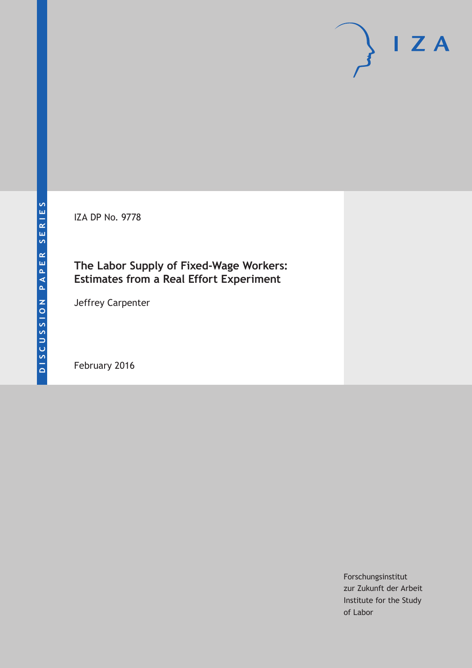IZA DP No. 9778

# **The Labor Supply of Fixed-Wage Workers: Estimates from a Real Effort Experiment**

Jeffrey Carpenter

February 2016

Forschungsinstitut zur Zukunft der Arbeit Institute for the Study of Labor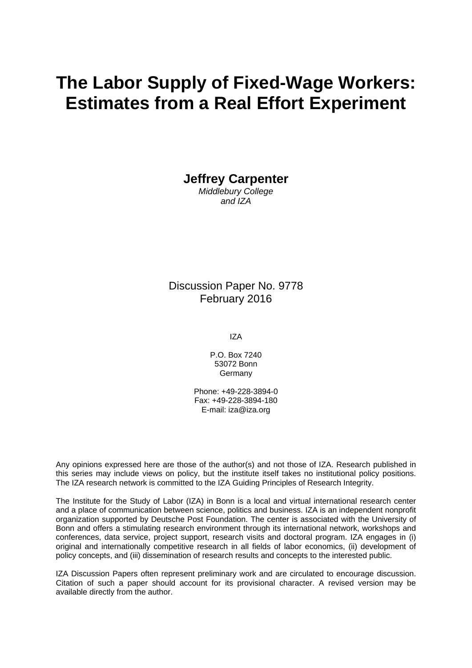# **The Labor Supply of Fixed-Wage Workers: Estimates from a Real Effort Experiment**

**Jeffrey Carpenter** 

*Middlebury College and IZA* 

#### Discussion Paper No. 9778 February 2016

IZA

P.O. Box 7240 53072 Bonn Germany

Phone: +49-228-3894-0 Fax: +49-228-3894-180 E-mail: iza@iza.org

Any opinions expressed here are those of the author(s) and not those of IZA. Research published in this series may include views on policy, but the institute itself takes no institutional policy positions. The IZA research network is committed to the IZA Guiding Principles of Research Integrity.

The Institute for the Study of Labor (IZA) in Bonn is a local and virtual international research center and a place of communication between science, politics and business. IZA is an independent nonprofit organization supported by Deutsche Post Foundation. The center is associated with the University of Bonn and offers a stimulating research environment through its international network, workshops and conferences, data service, project support, research visits and doctoral program. IZA engages in (i) original and internationally competitive research in all fields of labor economics, (ii) development of policy concepts, and (iii) dissemination of research results and concepts to the interested public.

IZA Discussion Papers often represent preliminary work and are circulated to encourage discussion. Citation of such a paper should account for its provisional character. A revised version may be available directly from the author.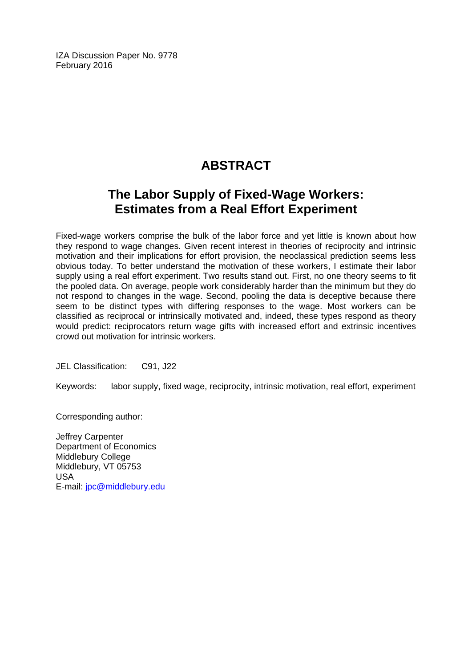IZA Discussion Paper No. 9778 February 2016

# **ABSTRACT**

# **The Labor Supply of Fixed-Wage Workers: Estimates from a Real Effort Experiment**

Fixed-wage workers comprise the bulk of the labor force and yet little is known about how they respond to wage changes. Given recent interest in theories of reciprocity and intrinsic motivation and their implications for effort provision, the neoclassical prediction seems less obvious today. To better understand the motivation of these workers, I estimate their labor supply using a real effort experiment. Two results stand out. First, no one theory seems to fit the pooled data. On average, people work considerably harder than the minimum but they do not respond to changes in the wage. Second, pooling the data is deceptive because there seem to be distinct types with differing responses to the wage. Most workers can be classified as reciprocal or intrinsically motivated and, indeed, these types respond as theory would predict: reciprocators return wage gifts with increased effort and extrinsic incentives crowd out motivation for intrinsic workers.

JEL Classification: C91, J22

Keywords: labor supply, fixed wage, reciprocity, intrinsic motivation, real effort, experiment

Corresponding author:

Jeffrey Carpenter Department of Economics Middlebury College Middlebury, VT 05753 USA E-mail: jpc@middlebury.edu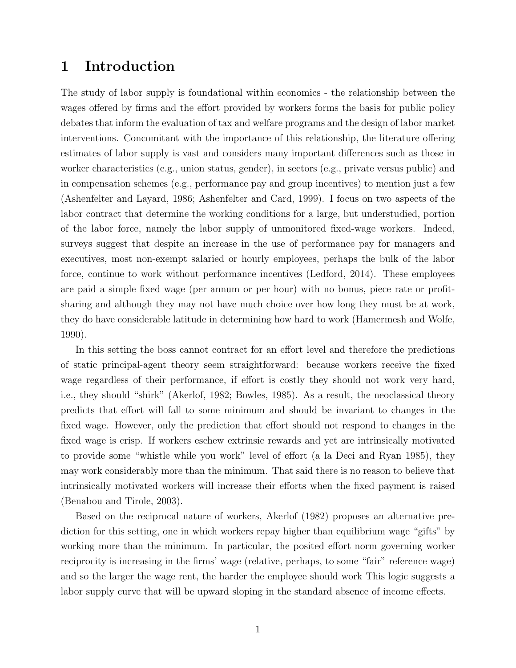## 1 Introduction

The study of labor supply is foundational within economics - the relationship between the wages offered by firms and the effort provided by workers forms the basis for public policy debates that inform the evaluation of tax and welfare programs and the design of labor market interventions. Concomitant with the importance of this relationship, the literature offering estimates of labor supply is vast and considers many important differences such as those in worker characteristics (e.g., union status, gender), in sectors (e.g., private versus public) and in compensation schemes (e.g., performance pay and group incentives) to mention just a few (Ashenfelter and Layard, 1986; Ashenfelter and Card, 1999). I focus on two aspects of the labor contract that determine the working conditions for a large, but understudied, portion of the labor force, namely the labor supply of unmonitored fixed-wage workers. Indeed, surveys suggest that despite an increase in the use of performance pay for managers and executives, most non-exempt salaried or hourly employees, perhaps the bulk of the labor force, continue to work without performance incentives (Ledford, 2014). These employees are paid a simple fixed wage (per annum or per hour) with no bonus, piece rate or profitsharing and although they may not have much choice over how long they must be at work, they do have considerable latitude in determining how hard to work (Hamermesh and Wolfe, 1990).

In this setting the boss cannot contract for an effort level and therefore the predictions of static principal-agent theory seem straightforward: because workers receive the fixed wage regardless of their performance, if effort is costly they should not work very hard, i.e., they should "shirk" (Akerlof, 1982; Bowles, 1985). As a result, the neoclassical theory predicts that effort will fall to some minimum and should be invariant to changes in the fixed wage. However, only the prediction that effort should not respond to changes in the fixed wage is crisp. If workers eschew extrinsic rewards and yet are intrinsically motivated to provide some "whistle while you work" level of effort (a la Deci and Ryan 1985), they may work considerably more than the minimum. That said there is no reason to believe that intrinsically motivated workers will increase their efforts when the fixed payment is raised (Benabou and Tirole, 2003).

Based on the reciprocal nature of workers, Akerlof (1982) proposes an alternative prediction for this setting, one in which workers repay higher than equilibrium wage "gifts" by working more than the minimum. In particular, the posited effort norm governing worker reciprocity is increasing in the firms' wage (relative, perhaps, to some "fair" reference wage) and so the larger the wage rent, the harder the employee should work This logic suggests a labor supply curve that will be upward sloping in the standard absence of income effects.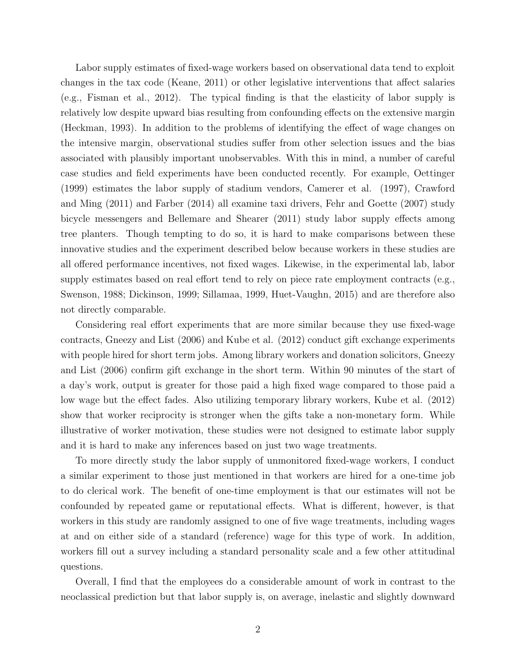Labor supply estimates of fixed-wage workers based on observational data tend to exploit changes in the tax code (Keane, 2011) or other legislative interventions that affect salaries (e.g., Fisman et al., 2012). The typical finding is that the elasticity of labor supply is relatively low despite upward bias resulting from confounding effects on the extensive margin (Heckman, 1993). In addition to the problems of identifying the effect of wage changes on the intensive margin, observational studies suffer from other selection issues and the bias associated with plausibly important unobservables. With this in mind, a number of careful case studies and field experiments have been conducted recently. For example, Oettinger (1999) estimates the labor supply of stadium vendors, Camerer et al. (1997), Crawford and Ming (2011) and Farber (2014) all examine taxi drivers, Fehr and Goette (2007) study bicycle messengers and Bellemare and Shearer (2011) study labor supply effects among tree planters. Though tempting to do so, it is hard to make comparisons between these innovative studies and the experiment described below because workers in these studies are all offered performance incentives, not fixed wages. Likewise, in the experimental lab, labor supply estimates based on real effort tend to rely on piece rate employment contracts (e.g., Swenson, 1988; Dickinson, 1999; Sillamaa, 1999, Huet-Vaughn, 2015) and are therefore also not directly comparable.

Considering real effort experiments that are more similar because they use fixed-wage contracts, Gneezy and List (2006) and Kube et al. (2012) conduct gift exchange experiments with people hired for short term jobs. Among library workers and donation solicitors, Gneezy and List (2006) confirm gift exchange in the short term. Within 90 minutes of the start of a day's work, output is greater for those paid a high fixed wage compared to those paid a low wage but the effect fades. Also utilizing temporary library workers, Kube et al. (2012) show that worker reciprocity is stronger when the gifts take a non-monetary form. While illustrative of worker motivation, these studies were not designed to estimate labor supply and it is hard to make any inferences based on just two wage treatments.

To more directly study the labor supply of unmonitored fixed-wage workers, I conduct a similar experiment to those just mentioned in that workers are hired for a one-time job to do clerical work. The benefit of one-time employment is that our estimates will not be confounded by repeated game or reputational effects. What is different, however, is that workers in this study are randomly assigned to one of five wage treatments, including wages at and on either side of a standard (reference) wage for this type of work. In addition, workers fill out a survey including a standard personality scale and a few other attitudinal questions.

Overall, I find that the employees do a considerable amount of work in contrast to the neoclassical prediction but that labor supply is, on average, inelastic and slightly downward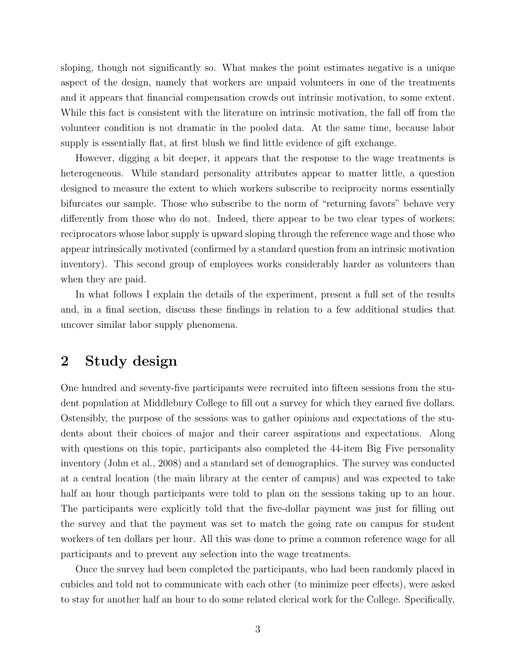sloping, though not significantly so. What makes the point estimates negative is a unique aspect of the design, namely that workers are unpaid volunteers in one of the treatments and it appears that financial compensation crowds out intrinsic motivation, to some extent. While this fact is consistent with the literature on intrinsic motivation, the fall off from the volunteer condition is not dramatic in the pooled data. At the same time, because labor supply is essentially flat, at first blush we find little evidence of gift exchange.

However, digging a bit deeper, it appears that the response to the wage treatments is heterogeneous. While standard personality attributes appear to matter little, a question designed to measure the extent to which workers subscribe to reciprocity norms essentially bifurcates our sample. Those who subscribe to the norm of "returning favors" behave very differently from those who do not. Indeed, there appear to be two clear types of workers: reciprocators whose labor supply is upward sloping through the reference wage and those who appear intrinsically motivated (confirmed by a standard question from an intrinsic motivation inventory). This second group of employees works considerably harder as volunteers than when they are paid.

In what follows I explain the details of the experiment, present a full set of the results and, in a final section, discuss these findings in relation to a few additional studies that uncover similar labor supply phenomena.

## 2 Study design

One hundred and seventy-five participants were recruited into fifteen sessions from the student population at Middlebury College to fill out a survey for which they earned five dollars. Ostensibly, the purpose of the sessions was to gather opinions and expectations of the students about their choices of major and their career aspirations and expectations. Along with questions on this topic, participants also completed the 44-item Big Five personality inventory (John et al., 2008) and a standard set of demographics. The survey was conducted at a central location (the main library at the center of campus) and was expected to take half an hour though participants were told to plan on the sessions taking up to an hour. The participants were explicitly told that the five-dollar payment was just for filling out the survey and that the payment was set to match the going rate on campus for student workers of ten dollars per hour. All this was done to prime a common reference wage for all participants and to prevent any selection into the wage treatments.

Once the survey had been completed the participants, who had been randomly placed in cubicles and told not to communicate with each other (to minimize peer effects), were asked to stay for another half an hour to do some related clerical work for the College. Specifically,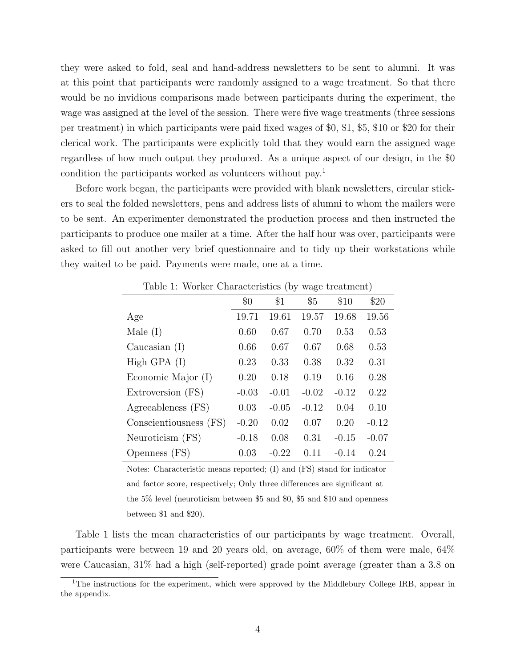they were asked to fold, seal and hand-address newsletters to be sent to alumni. It was at this point that participants were randomly assigned to a wage treatment. So that there would be no invidious comparisons made between participants during the experiment, the wage was assigned at the level of the session. There were five wage treatments (three sessions per treatment) in which participants were paid fixed wages of \$0, \$1, \$5, \$10 or \$20 for their clerical work. The participants were explicitly told that they would earn the assigned wage regardless of how much output they produced. As a unique aspect of our design, in the \$0 condition the participants worked as volunteers without pay.<sup>1</sup>

Before work began, the participants were provided with blank newsletters, circular stickers to seal the folded newsletters, pens and address lists of alumni to whom the mailers were to be sent. An experimenter demonstrated the production process and then instructed the participants to produce one mailer at a time. After the half hour was over, participants were asked to fill out another very brief questionnaire and to tidy up their workstations while they waited to be paid. Payments were made, one at a time.

| Table 1: Worker Characteristics (by wage treatment) |         |         |         |         |         |
|-----------------------------------------------------|---------|---------|---------|---------|---------|
|                                                     | \$0     | \$1     | \$5     | \$10    | \$20    |
| Age                                                 | 19.71   | 19.61   | 19.57   | 19.68   | 19.56   |
| Male $(I)$                                          | 0.60    | 0.67    | 0.70    | 0.53    | 0.53    |
| Caucasian $(I)$                                     | 0.66    | 0.67    | 0.67    | 0.68    | 0.53    |
| High GPA $(I)$                                      | 0.23    | 0.33    | 0.38    | 0.32    | 0.31    |
| Economic Major (I)                                  | 0.20    | 0.18    | 0.19    | 0.16    | 0.28    |
| Extroversion (FS)                                   | $-0.03$ | $-0.01$ | $-0.02$ | $-0.12$ | 0.22    |
| Agreeableness (FS)                                  | 0.03    | $-0.05$ | $-0.12$ | 0.04    | 0.10    |
| Conscientiousness (FS)                              | $-0.20$ | 0.02    | 0.07    | 0.20    | $-0.12$ |
| Neuroticism (FS)                                    | $-0.18$ | 0.08    | 0.31    | $-0.15$ | $-0.07$ |
| Openness (FS)                                       | 0.03    | $-0.22$ | 0.11    | $-0.14$ | 0.24    |

Notes: Characteristic means reported; (I) and (FS) stand for indicator and factor score, respectively; Only three differences are significant at the 5% level (neuroticism between \$5 and \$0, \$5 and \$10 and openness between \$1 and \$20).

Table 1 lists the mean characteristics of our participants by wage treatment. Overall, participants were between 19 and 20 years old, on average, 60% of them were male, 64% were Caucasian, 31% had a high (self-reported) grade point average (greater than a 3.8 on

<sup>&</sup>lt;sup>1</sup>The instructions for the experiment, which were approved by the Middlebury College IRB, appear in the appendix.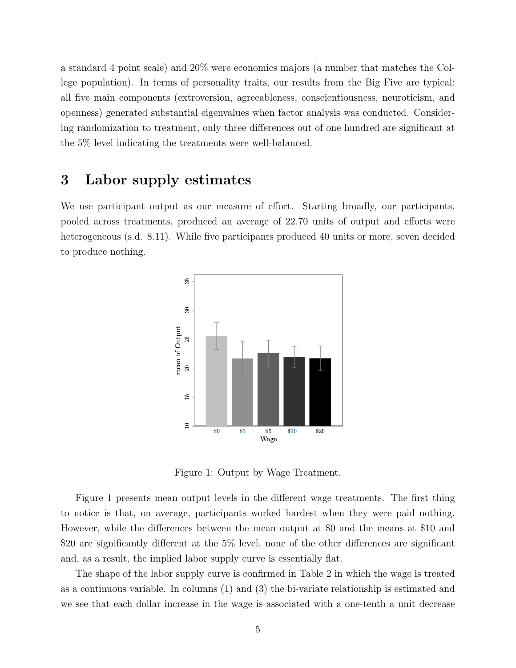a standard 4 point scale) and 20% were economics majors (a number that matches the College population). In terms of personality traits, our results from the Big Five are typical: all five main components (extroversion, agreeableness, conscientiousness, neuroticism, and openness) generated substantial eigenvalues when factor analysis was conducted. Considering randomization to treatment, only three differences out of one hundred are significant at the 5% level indicating the treatments were well-balanced.

## 3 Labor supply estimates

We use participant output as our measure of effort. Starting broadly, our participants, pooled across treatments, produced an average of 22.70 units of output and efforts were heterogeneous (s.d. 8.11). While five participants produced 40 units or more, seven decided to produce nothing.



Figure 1: Output by Wage Treatment.

Figure 1 presents mean output levels in the different wage treatments. The first thing to notice is that, on average, participants worked hardest when they were paid nothing. However, while the differences between the mean output at \$0 and the means at \$10 and \$20 are significantly different at the 5% level, none of the other differences are significant and, as a result, the implied labor supply curve is essentially flat.

The shape of the labor supply curve is confirmed in Table 2 in which the wage is treated as a continuous variable. In columns (1) and (3) the bi-variate relationship is estimated and we see that each dollar increase in the wage is associated with a one-tenth a unit decrease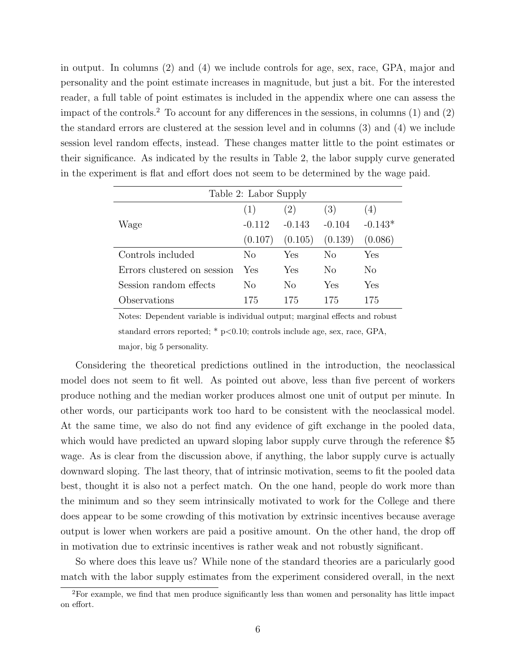in output. In columns (2) and (4) we include controls for age, sex, race, GPA, major and personality and the point estimate increases in magnitude, but just a bit. For the interested reader, a full table of point estimates is included in the appendix where one can assess the impact of the controls.<sup>2</sup> To account for any differences in the sessions, in columns  $(1)$  and  $(2)$ the standard errors are clustered at the session level and in columns (3) and (4) we include session level random effects, instead. These changes matter little to the point estimates or their significance. As indicated by the results in Table 2, the labor supply curve generated in the experiment is flat and effort does not seem to be determined by the wage paid.

| Table 2: Labor Supply       |          |          |          |           |
|-----------------------------|----------|----------|----------|-----------|
|                             | (1)      | (2)      | (3)      | (4)       |
| Wage                        | $-0.112$ | $-0.143$ | $-0.104$ | $-0.143*$ |
|                             | (0.107)  | (0.105)  | (0.139)  | (0.086)   |
| Controls included           | No       | Yes      | No       | Yes       |
| Errors clustered on session | Yes      | Yes      | No       | No        |
| Session random effects      | No       | No       | Yes      | Yes       |
| Observations                | 175      | 175      | 175      | 175       |

Notes: Dependent variable is individual output; marginal effects and robust standard errors reported;  $*$  p $< 0.10$ ; controls include age, sex, race, GPA, major, big 5 personality.

Considering the theoretical predictions outlined in the introduction, the neoclassical model does not seem to fit well. As pointed out above, less than five percent of workers produce nothing and the median worker produces almost one unit of output per minute. In other words, our participants work too hard to be consistent with the neoclassical model. At the same time, we also do not find any evidence of gift exchange in the pooled data, which would have predicted an upward sloping labor supply curve through the reference \$5 wage. As is clear from the discussion above, if anything, the labor supply curve is actually downward sloping. The last theory, that of intrinsic motivation, seems to fit the pooled data best, thought it is also not a perfect match. On the one hand, people do work more than the minimum and so they seem intrinsically motivated to work for the College and there does appear to be some crowding of this motivation by extrinsic incentives because average output is lower when workers are paid a positive amount. On the other hand, the drop off in motivation due to extrinsic incentives is rather weak and not robustly significant.

So where does this leave us? While none of the standard theories are a paricularly good match with the labor supply estimates from the experiment considered overall, in the next

<sup>2</sup>For example, we find that men produce significantly less than women and personality has little impact on effort.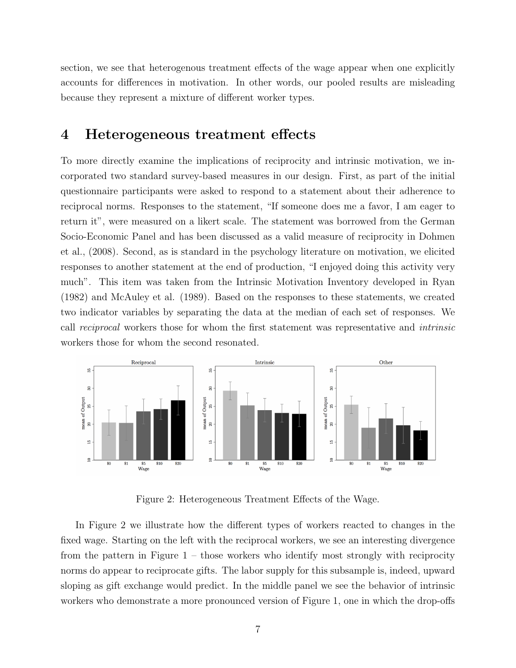section, we see that heterogenous treatment effects of the wage appear when one explicitly accounts for differences in motivation. In other words, our pooled results are misleading because they represent a mixture of different worker types.

#### 4 Heterogeneous treatment effects

To more directly examine the implications of reciprocity and intrinsic motivation, we incorporated two standard survey-based measures in our design. First, as part of the initial questionnaire participants were asked to respond to a statement about their adherence to reciprocal norms. Responses to the statement, "If someone does me a favor, I am eager to return it", were measured on a likert scale. The statement was borrowed from the German Socio-Economic Panel and has been discussed as a valid measure of reciprocity in Dohmen et al., (2008). Second, as is standard in the psychology literature on motivation, we elicited responses to another statement at the end of production, "I enjoyed doing this activity very much". This item was taken from the Intrinsic Motivation Inventory developed in Ryan (1982) and McAuley et al. (1989). Based on the responses to these statements, we created two indicator variables by separating the data at the median of each set of responses. We call reciprocal workers those for whom the first statement was representative and intrinsic workers those for whom the second resonated.



Figure 2: Heterogeneous Treatment Effects of the Wage.

In Figure 2 we illustrate how the different types of workers reacted to changes in the fixed wage. Starting on the left with the reciprocal workers, we see an interesting divergence from the pattern in Figure  $1 -$  those workers who identify most strongly with reciprocity norms do appear to reciprocate gifts. The labor supply for this subsample is, indeed, upward sloping as gift exchange would predict. In the middle panel we see the behavior of intrinsic workers who demonstrate a more pronounced version of Figure 1, one in which the drop-offs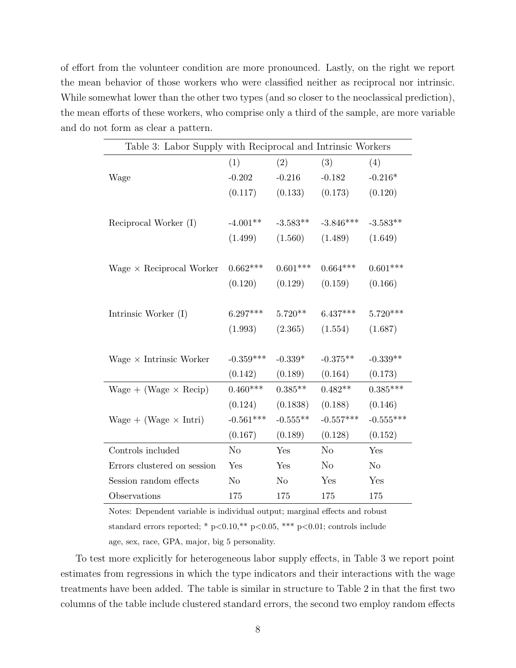of effort from the volunteer condition are more pronounced. Lastly, on the right we report the mean behavior of those workers who were classified neither as reciprocal nor intrinsic. While somewhat lower than the other two types (and so closer to the neoclassical prediction), the mean efforts of these workers, who comprise only a third of the sample, are more variable and do not form as clear a pattern.

| Table 3: Labor Supply with Reciprocal and Intrinsic Workers |                |            |             |                |
|-------------------------------------------------------------|----------------|------------|-------------|----------------|
|                                                             | (1)            | (2)        | (3)         | (4)            |
| Wage                                                        | $-0.202$       | $-0.216$   | $-0.182$    | $-0.216*$      |
|                                                             | (0.117)        | (0.133)    | (0.173)     | (0.120)        |
|                                                             |                |            |             |                |
| Reciprocal Worker (I)                                       | $-4.001**$     | $-3.583**$ | $-3.846***$ | $-3.583**$     |
|                                                             | (1.499)        | (1.560)    | (1.489)     | (1.649)        |
|                                                             |                |            |             |                |
| Wage $\times$ Reciprocal Worker                             | $0.662***$     | $0.601***$ | $0.664***$  | $0.601***$     |
|                                                             | (0.120)        | (0.129)    | (0.159)     | (0.166)        |
|                                                             |                |            |             |                |
| Intrinsic Worker (I)                                        | $6.297***$     | $5.720**$  | $6.437***$  | $5.720***$     |
|                                                             | (1.993)        | (2.365)    | (1.554)     | (1.687)        |
|                                                             |                |            |             |                |
| Wage $\times$ Intrinsic Worker                              | $-0.359***$    | $-0.339*$  | $-0.375**$  | $-0.339**$     |
|                                                             | (0.142)        | (0.189)    | (0.164)     | (0.173)        |
| Wage + (Wage $\times$ Recip)                                | $0.460***$     | $0.385**$  | $0.482**$   | $0.385***$     |
|                                                             | (0.124)        | (0.1838)   | (0.188)     | (0.146)        |
| Wage + (Wage $\times$ Intri)                                | $-0.561***$    | $-0.555**$ | $-0.557***$ | $-0.555***$    |
|                                                             | (0.167)        | (0.189)    | (0.128)     | (0.152)        |
| Controls included                                           | No             | Yes        | No          | Yes            |
| Errors clustered on session                                 | Yes            | Yes        | $\rm No$    | N <sub>o</sub> |
| Session random effects                                      | N <sub>o</sub> | $\rm No$   | Yes         | Yes            |
| Observations                                                | 175            | 175        | 175         | 175            |

Notes: Dependent variable is individual output; marginal effects and robust standard errors reported; \*  $p<0.10$ , \*\*  $p<0.05$ , \*\*\*  $p<0.01$ ; controls include age, sex, race, GPA, major, big 5 personality.

To test more explicitly for heterogeneous labor supply effects, in Table 3 we report point estimates from regressions in which the type indicators and their interactions with the wage treatments have been added. The table is similar in structure to Table 2 in that the first two columns of the table include clustered standard errors, the second two employ random effects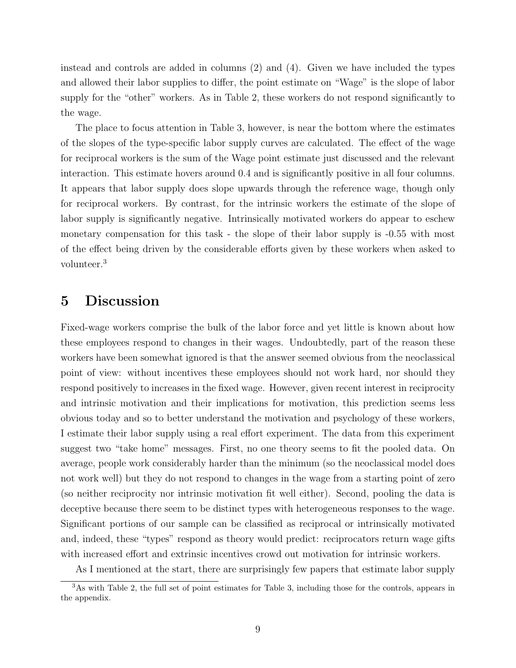instead and controls are added in columns (2) and (4). Given we have included the types and allowed their labor supplies to differ, the point estimate on "Wage" is the slope of labor supply for the "other" workers. As in Table 2, these workers do not respond significantly to the wage.

The place to focus attention in Table 3, however, is near the bottom where the estimates of the slopes of the type-specific labor supply curves are calculated. The effect of the wage for reciprocal workers is the sum of the Wage point estimate just discussed and the relevant interaction. This estimate hovers around 0.4 and is significantly positive in all four columns. It appears that labor supply does slope upwards through the reference wage, though only for reciprocal workers. By contrast, for the intrinsic workers the estimate of the slope of labor supply is significantly negative. Intrinsically motivated workers do appear to eschew monetary compensation for this task - the slope of their labor supply is -0.55 with most of the effect being driven by the considerable efforts given by these workers when asked to volunteer.<sup>3</sup>

#### 5 Discussion

Fixed-wage workers comprise the bulk of the labor force and yet little is known about how these employees respond to changes in their wages. Undoubtedly, part of the reason these workers have been somewhat ignored is that the answer seemed obvious from the neoclassical point of view: without incentives these employees should not work hard, nor should they respond positively to increases in the fixed wage. However, given recent interest in reciprocity and intrinsic motivation and their implications for motivation, this prediction seems less obvious today and so to better understand the motivation and psychology of these workers, I estimate their labor supply using a real effort experiment. The data from this experiment suggest two "take home" messages. First, no one theory seems to fit the pooled data. On average, people work considerably harder than the minimum (so the neoclassical model does not work well) but they do not respond to changes in the wage from a starting point of zero (so neither reciprocity nor intrinsic motivation fit well either). Second, pooling the data is deceptive because there seem to be distinct types with heterogeneous responses to the wage. Significant portions of our sample can be classified as reciprocal or intrinsically motivated and, indeed, these "types" respond as theory would predict: reciprocators return wage gifts with increased effort and extrinsic incentives crowd out motivation for intrinsic workers.

As I mentioned at the start, there are surprisingly few papers that estimate labor supply

<sup>3</sup>As with Table 2, the full set of point estimates for Table 3, including those for the controls, appears in the appendix.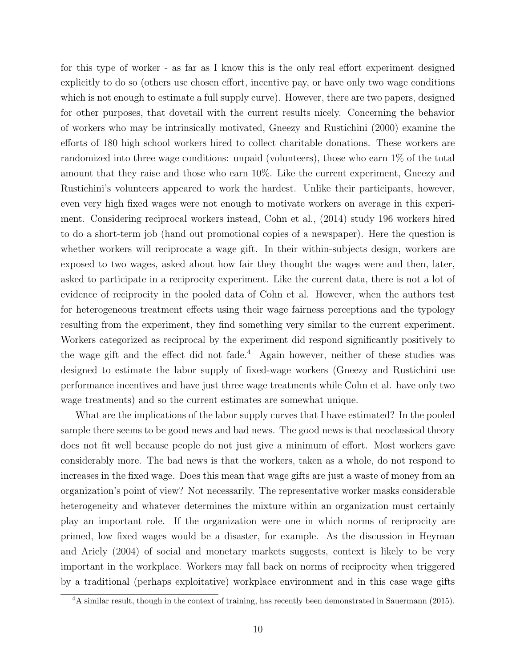for this type of worker - as far as I know this is the only real effort experiment designed explicitly to do so (others use chosen effort, incentive pay, or have only two wage conditions which is not enough to estimate a full supply curve). However, there are two papers, designed for other purposes, that dovetail with the current results nicely. Concerning the behavior of workers who may be intrinsically motivated, Gneezy and Rustichini (2000) examine the efforts of 180 high school workers hired to collect charitable donations. These workers are randomized into three wage conditions: unpaid (volunteers), those who earn 1% of the total amount that they raise and those who earn 10%. Like the current experiment, Gneezy and Rustichini's volunteers appeared to work the hardest. Unlike their participants, however, even very high fixed wages were not enough to motivate workers on average in this experiment. Considering reciprocal workers instead, Cohn et al., (2014) study 196 workers hired to do a short-term job (hand out promotional copies of a newspaper). Here the question is whether workers will reciprocate a wage gift. In their within-subjects design, workers are exposed to two wages, asked about how fair they thought the wages were and then, later, asked to participate in a reciprocity experiment. Like the current data, there is not a lot of evidence of reciprocity in the pooled data of Cohn et al. However, when the authors test for heterogeneous treatment effects using their wage fairness perceptions and the typology resulting from the experiment, they find something very similar to the current experiment. Workers categorized as reciprocal by the experiment did respond significantly positively to the wage gift and the effect did not fade.<sup>4</sup> Again however, neither of these studies was designed to estimate the labor supply of fixed-wage workers (Gneezy and Rustichini use performance incentives and have just three wage treatments while Cohn et al. have only two wage treatments) and so the current estimates are somewhat unique.

What are the implications of the labor supply curves that I have estimated? In the pooled sample there seems to be good news and bad news. The good news is that neoclassical theory does not fit well because people do not just give a minimum of effort. Most workers gave considerably more. The bad news is that the workers, taken as a whole, do not respond to increases in the fixed wage. Does this mean that wage gifts are just a waste of money from an organization's point of view? Not necessarily. The representative worker masks considerable heterogeneity and whatever determines the mixture within an organization must certainly play an important role. If the organization were one in which norms of reciprocity are primed, low fixed wages would be a disaster, for example. As the discussion in Heyman and Ariely (2004) of social and monetary markets suggests, context is likely to be very important in the workplace. Workers may fall back on norms of reciprocity when triggered by a traditional (perhaps exploitative) workplace environment and in this case wage gifts

<sup>&</sup>lt;sup>4</sup>A similar result, though in the context of training, has recently been demonstrated in Sauermann (2015).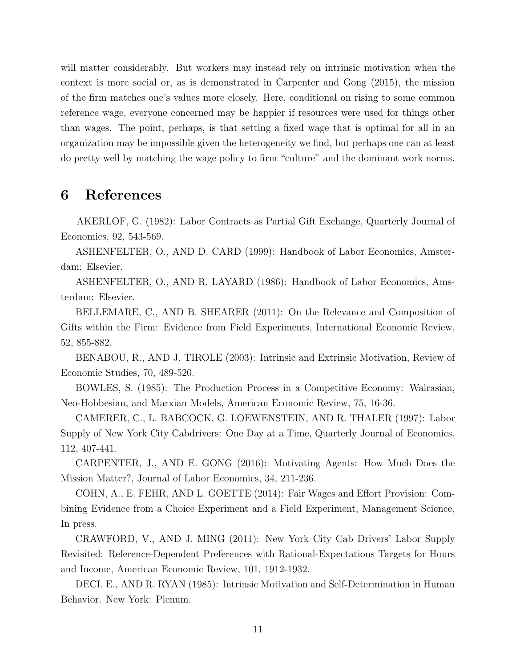will matter considerably. But workers may instead rely on intrinsic motivation when the context is more social or, as is demonstrated in Carpenter and Gong (2015), the mission of the firm matches one's values more closely. Here, conditional on rising to some common reference wage, everyone concerned may be happier if resources were used for things other than wages. The point, perhaps, is that setting a fixed wage that is optimal for all in an organization may be impossible given the heterogeneity we find, but perhaps one can at least do pretty well by matching the wage policy to firm "culture" and the dominant work norms.

#### 6 References

AKERLOF, G. (1982): Labor Contracts as Partial Gift Exchange, Quarterly Journal of Economics, 92, 543-569.

ASHENFELTER, O., AND D. CARD (1999): Handbook of Labor Economics, Amsterdam: Elsevier.

ASHENFELTER, O., AND R. LAYARD (1986): Handbook of Labor Economics, Amsterdam: Elsevier.

BELLEMARE, C., AND B. SHEARER (2011): On the Relevance and Composition of Gifts within the Firm: Evidence from Field Experiments, International Economic Review, 52, 855-882.

BENABOU, R., AND J. TIROLE (2003): Intrinsic and Extrinsic Motivation, Review of Economic Studies, 70, 489-520.

BOWLES, S. (1985): The Production Process in a Competitive Economy: Walrasian, Neo-Hobbesian, and Marxian Models, American Economic Review, 75, 16-36.

CAMERER, C., L. BABCOCK, G. LOEWENSTEIN, AND R. THALER (1997): Labor Supply of New York City Cabdrivers: One Day at a Time, Quarterly Journal of Economics, 112, 407-441.

CARPENTER, J., AND E. GONG (2016): Motivating Agents: How Much Does the Mission Matter?, Journal of Labor Economics, 34, 211-236.

COHN, A., E. FEHR, AND L. GOETTE (2014): Fair Wages and Effort Provision: Combining Evidence from a Choice Experiment and a Field Experiment, Management Science, In press.

CRAWFORD, V., AND J. MING (2011): New York City Cab Drivers' Labor Supply Revisited: Reference-Dependent Preferences with Rational-Expectations Targets for Hours and Income, American Economic Review, 101, 1912-1932.

DECI, E., AND R. RYAN (1985): Intrinsic Motivation and Self-Determination in Human Behavior. New York: Plenum.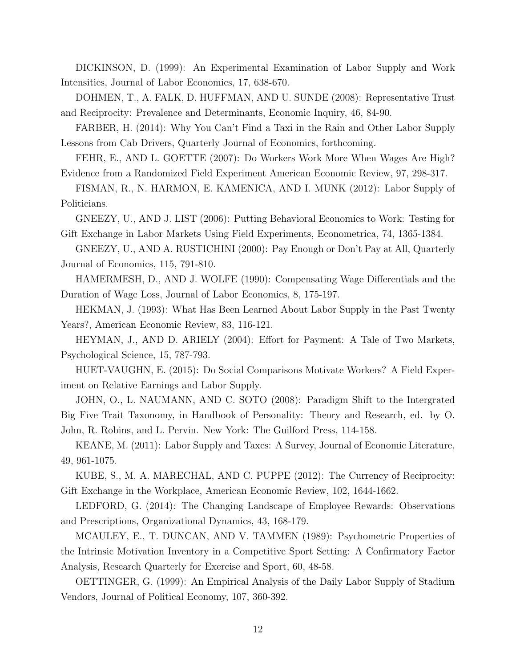DICKINSON, D. (1999): An Experimental Examination of Labor Supply and Work Intensities, Journal of Labor Economics, 17, 638-670.

DOHMEN, T., A. FALK, D. HUFFMAN, AND U. SUNDE (2008): Representative Trust and Reciprocity: Prevalence and Determinants, Economic Inquiry, 46, 84-90.

FARBER, H. (2014): Why You Can't Find a Taxi in the Rain and Other Labor Supply Lessons from Cab Drivers, Quarterly Journal of Economics, forthcoming.

FEHR, E., AND L. GOETTE (2007): Do Workers Work More When Wages Are High? Evidence from a Randomized Field Experiment American Economic Review, 97, 298-317.

FISMAN, R., N. HARMON, E. KAMENICA, AND I. MUNK (2012): Labor Supply of Politicians.

GNEEZY, U., AND J. LIST (2006): Putting Behavioral Economics to Work: Testing for Gift Exchange in Labor Markets Using Field Experiments, Econometrica, 74, 1365-1384.

GNEEZY, U., AND A. RUSTICHINI (2000): Pay Enough or Don't Pay at All, Quarterly Journal of Economics, 115, 791-810.

HAMERMESH, D., AND J. WOLFE (1990): Compensating Wage Differentials and the Duration of Wage Loss, Journal of Labor Economics, 8, 175-197.

HEKMAN, J. (1993): What Has Been Learned About Labor Supply in the Past Twenty Years?, American Economic Review, 83, 116-121.

HEYMAN, J., AND D. ARIELY (2004): Effort for Payment: A Tale of Two Markets, Psychological Science, 15, 787-793.

HUET-VAUGHN, E. (2015): Do Social Comparisons Motivate Workers? A Field Experiment on Relative Earnings and Labor Supply.

JOHN, O., L. NAUMANN, AND C. SOTO (2008): Paradigm Shift to the Intergrated Big Five Trait Taxonomy, in Handbook of Personality: Theory and Research, ed. by O. John, R. Robins, and L. Pervin. New York: The Guilford Press, 114-158.

KEANE, M. (2011): Labor Supply and Taxes: A Survey, Journal of Economic Literature, 49, 961-1075.

KUBE, S., M. A. MARECHAL, AND C. PUPPE (2012): The Currency of Reciprocity: Gift Exchange in the Workplace, American Economic Review, 102, 1644-1662.

LEDFORD, G. (2014): The Changing Landscape of Employee Rewards: Observations and Prescriptions, Organizational Dynamics, 43, 168-179.

MCAULEY, E., T. DUNCAN, AND V. TAMMEN (1989): Psychometric Properties of the Intrinsic Motivation Inventory in a Competitive Sport Setting: A Confirmatory Factor Analysis, Research Quarterly for Exercise and Sport, 60, 48-58.

OETTINGER, G. (1999): An Empirical Analysis of the Daily Labor Supply of Stadium Vendors, Journal of Political Economy, 107, 360-392.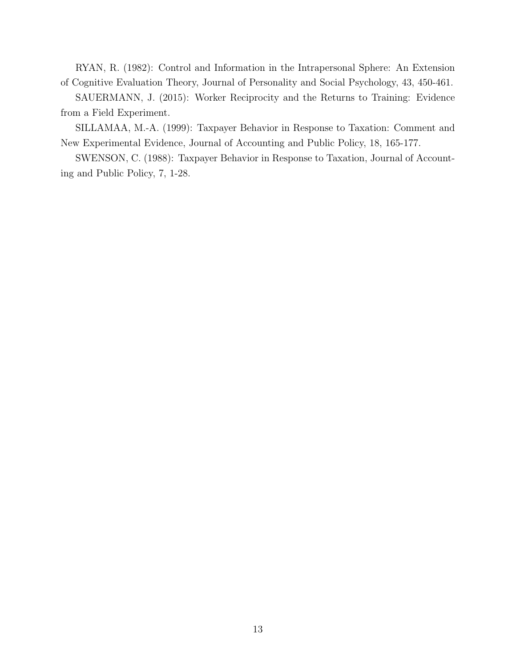RYAN, R. (1982): Control and Information in the Intrapersonal Sphere: An Extension of Cognitive Evaluation Theory, Journal of Personality and Social Psychology, 43, 450-461.

SAUERMANN, J. (2015): Worker Reciprocity and the Returns to Training: Evidence from a Field Experiment.

SILLAMAA, M.-A. (1999): Taxpayer Behavior in Response to Taxation: Comment and New Experimental Evidence, Journal of Accounting and Public Policy, 18, 165-177.

SWENSON, C. (1988): Taxpayer Behavior in Response to Taxation, Journal of Accounting and Public Policy, 7, 1-28.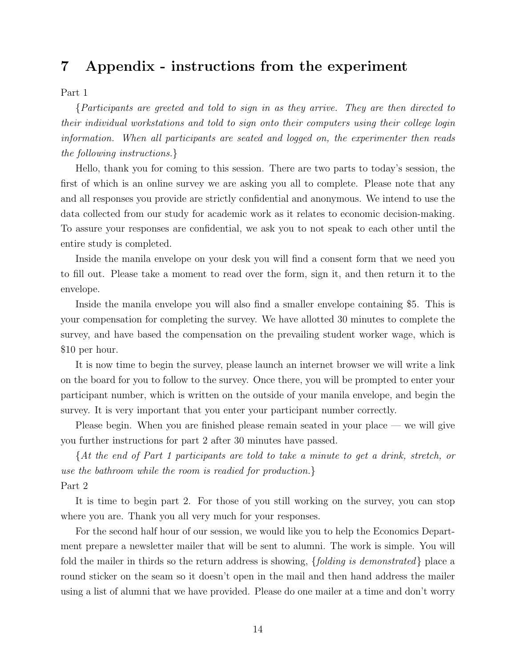## 7 Appendix - instructions from the experiment

Part 1

{Participants are greeted and told to sign in as they arrive. They are then directed to their individual workstations and told to sign onto their computers using their college login information. When all participants are seated and logged on, the experimenter then reads the following instructions.}

Hello, thank you for coming to this session. There are two parts to today's session, the first of which is an online survey we are asking you all to complete. Please note that any and all responses you provide are strictly confidential and anonymous. We intend to use the data collected from our study for academic work as it relates to economic decision-making. To assure your responses are confidential, we ask you to not speak to each other until the entire study is completed.

Inside the manila envelope on your desk you will find a consent form that we need you to fill out. Please take a moment to read over the form, sign it, and then return it to the envelope.

Inside the manila envelope you will also find a smaller envelope containing \$5. This is your compensation for completing the survey. We have allotted 30 minutes to complete the survey, and have based the compensation on the prevailing student worker wage, which is \$10 per hour.

It is now time to begin the survey, please launch an internet browser we will write a link on the board for you to follow to the survey. Once there, you will be prompted to enter your participant number, which is written on the outside of your manila envelope, and begin the survey. It is very important that you enter your participant number correctly.

Please begin. When you are finished please remain seated in your place — we will give you further instructions for part 2 after 30 minutes have passed.

{At the end of Part 1 participants are told to take a minute to get a drink, stretch, or use the bathroom while the room is readied for production.} Part 2

It is time to begin part 2. For those of you still working on the survey, you can stop where you are. Thank you all very much for your responses.

For the second half hour of our session, we would like you to help the Economics Department prepare a newsletter mailer that will be sent to alumni. The work is simple. You will fold the mailer in thirds so the return address is showing,  $\{folding\ is\ demonstrated\}$  place a round sticker on the seam so it doesn't open in the mail and then hand address the mailer using a list of alumni that we have provided. Please do one mailer at a time and don't worry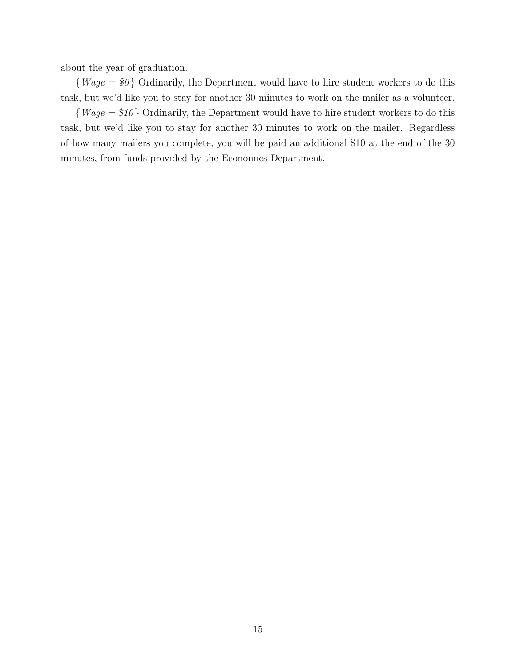about the year of graduation.

 ${Wage = $0}$  Ordinarily, the Department would have to hire student workers to do this task, but we'd like you to stay for another 30 minutes to work on the mailer as a volunteer.

 ${Wage = $10}$  Ordinarily, the Department would have to hire student workers to do this task, but we'd like you to stay for another 30 minutes to work on the mailer. Regardless of how many mailers you complete, you will be paid an additional \$10 at the end of the 30 minutes, from funds provided by the Economics Department.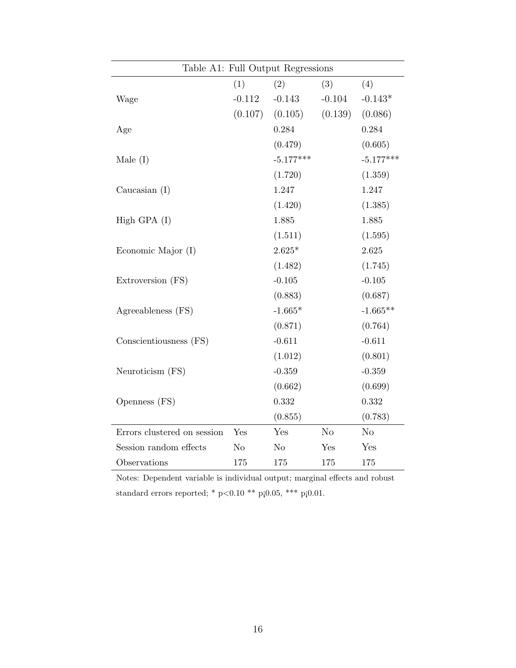| Table A1: Full Output Regressions |                |                |                |                |
|-----------------------------------|----------------|----------------|----------------|----------------|
|                                   | (1)            | (2)            | (3)            | (4)            |
| Wage                              | $-0.112$       | $-0.143$       | $-0.104$       | $-0.143*$      |
|                                   | (0.107)        | (0.105)        | (0.139)        | (0.086)        |
| Age                               |                | 0.284          |                | 0.284          |
|                                   |                | (0.479)        |                | (0.605)        |
| Male $(I)$                        |                | $-5.177***$    |                | $-5.177***$    |
|                                   |                | (1.720)        |                | (1.359)        |
| Caucasian $(I)$                   |                | 1.247          |                | 1.247          |
|                                   |                | (1.420)        |                | (1.385)        |
| High GPA $(I)$                    |                | 1.885          |                | 1.885          |
|                                   |                | (1.511)        |                | (1.595)        |
| Economic Major (I)                |                | $2.625*$       |                | 2.625          |
|                                   |                | (1.482)        |                | (1.745)        |
| Extroversion (FS)                 |                | $-0.105$       |                | $-0.105$       |
|                                   |                | (0.883)        |                | (0.687)        |
| Agreeableness (FS)                |                | $-1.665*$      |                | $-1.665**$     |
|                                   |                | (0.871)        |                | (0.764)        |
| Conscientiousness (FS)            |                | $-0.611$       |                | $-0.611$       |
|                                   |                | (1.012)        |                | (0.801)        |
| Neuroticism (FS)                  |                | $-0.359$       |                | $-0.359$       |
|                                   |                | (0.662)        |                | (0.699)        |
| Openness (FS)                     |                | 0.332          |                | 0.332          |
|                                   |                | (0.855)        |                | (0.783)        |
| Errors clustered on session       | Yes            | Yes            | N <sub>o</sub> | N <sub>o</sub> |
| Session random effects            | N <sub>o</sub> | N <sub>o</sub> | Yes            | Yes            |
| Observations                      | 175            | 175            | 175            | 175            |

Notes: Dependent variable is individual output; marginal effects and robust standard errors reported; \* p<0.10 \*\* p¡0.05, \*\*\* p¡0.01.